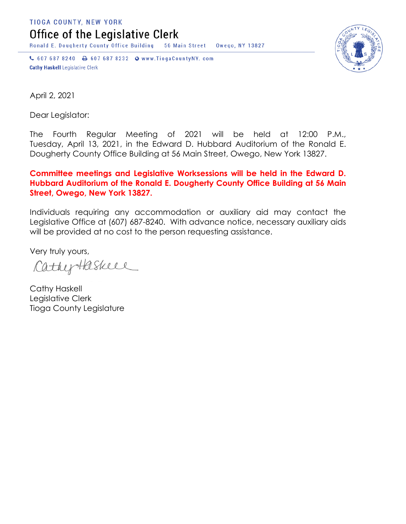TIOGA COUNTY, NEW YORK

Office of the Legislative Clerk

Ronald E. Dougherty County Office Building 56 Main Street Owego, NY 13827

↓ 607 687 8240 → 607 687 8232 → www.TiogaCountyNY.com **Cathy Haskell Legislative Clerk** 



April 2, 2021

Dear Legislator:

The Fourth Regular Meeting of 2021 will be held at 12:00 P.M., Tuesday, April 13, 2021, in the Edward D. Hubbard Auditorium of the Ronald E. Dougherty County Office Building at 56 Main Street, Owego, New York 13827.

## **Committee meetings and Legislative Worksessions will be held in the Edward D. Hubbard Auditorium of the Ronald E. Dougherty County Office Building at 56 Main Street, Owego, New York 13827.**

Individuals requiring any accommodation or auxiliary aid may contact the Legislative Office at (607) 687-8240. With advance notice, necessary auxiliary aids will be provided at no cost to the person requesting assistance.

Very truly yours,

CathyHaskeel

Cathy Haskell Legislative Clerk Tioga County Legislature